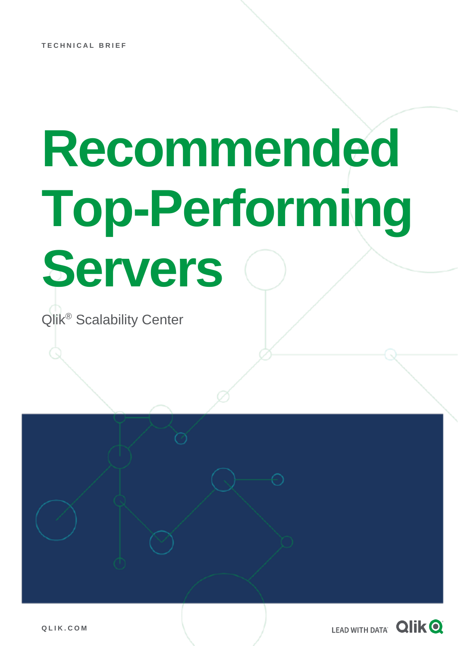# **Recommended Top-Performing Servers**

Qlik® Scalability Center

**Q L I K . C O M**

LEAD WITH DATA **QIIK Q**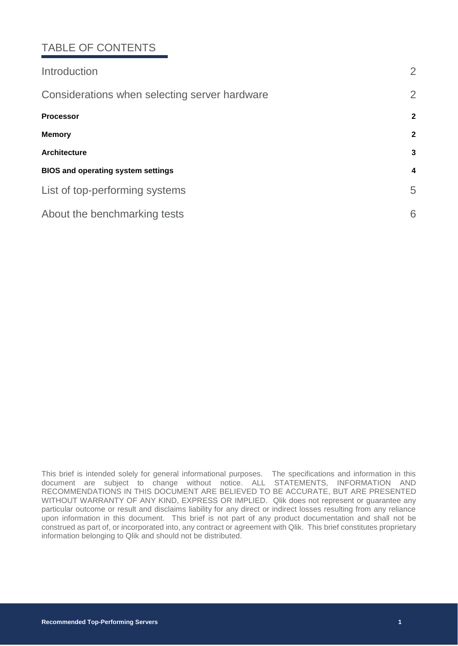## TABLE OF CONTENTS

| Introduction                                  | $\overline{2}$   |
|-----------------------------------------------|------------------|
| Considerations when selecting server hardware | $\overline{2}$   |
| <b>Processor</b>                              | $\mathbf{2}$     |
| <b>Memory</b>                                 | $\mathbf{2}$     |
| <b>Architecture</b>                           | 3                |
| <b>BIOS and operating system settings</b>     | $\boldsymbol{4}$ |
| List of top-performing systems                | 5                |
| About the benchmarking tests                  | 6                |

This brief is intended solely for general informational purposes. The specifications and information in this document are subject to change without notice. ALL STATEMENTS, INFORMATION AND RECOMMENDATIONS IN THIS DOCUMENT ARE BELIEVED TO BE ACCURATE, BUT ARE PRESENTED WITHOUT WARRANTY OF ANY KIND, EXPRESS OR IMPLIED. Qlik does not represent or guarantee any particular outcome or result and disclaims liability for any direct or indirect losses resulting from any reliance upon information in this document. This brief is not part of any product documentation and shall not be construed as part of, or incorporated into, any contract or agreement with Qlik. This brief constitutes proprietary information belonging to Qlik and should not be distributed.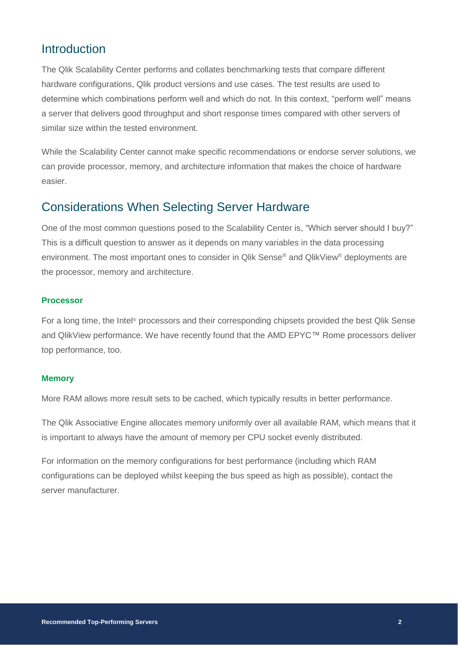## <span id="page-2-0"></span>Introduction

The Qlik Scalability Center performs and collates benchmarking tests that compare different hardware configurations, Qlik product versions and use cases. The test results are used to determine which combinations perform well and which do not. In this context, "perform well" means a server that delivers good throughput and short response times compared with other servers of similar size within the tested environment.

While the Scalability Center cannot make specific recommendations or endorse server solutions, we can provide processor, memory, and architecture information that makes the choice of hardware easier.

## <span id="page-2-1"></span>Considerations When Selecting Server Hardware

One of the most common questions posed to the Scalability Center is, "Which server should I buy?" This is a difficult question to answer as it depends on many variables in the data processing environment. The most important ones to consider in Qlik Sense® and QlikView® deployments are the processor, memory and architecture.

#### <span id="page-2-2"></span>**Processor**

For a long time, the Intel® processors and their corresponding chipsets provided the best Qlik Sense and QlikView performance. We have recently found that the AMD EPYC™ Rome processors deliver top performance, too.

#### <span id="page-2-3"></span>**Memory**

More RAM allows more result sets to be cached, which typically results in better performance.

The Qlik Associative Engine allocates memory uniformly over all available RAM, which means that it is important to always have the amount of memory per CPU socket evenly distributed.

For information on the memory configurations for best performance (including which RAM configurations can be deployed whilst keeping the bus speed as high as possible), contact the server manufacturer.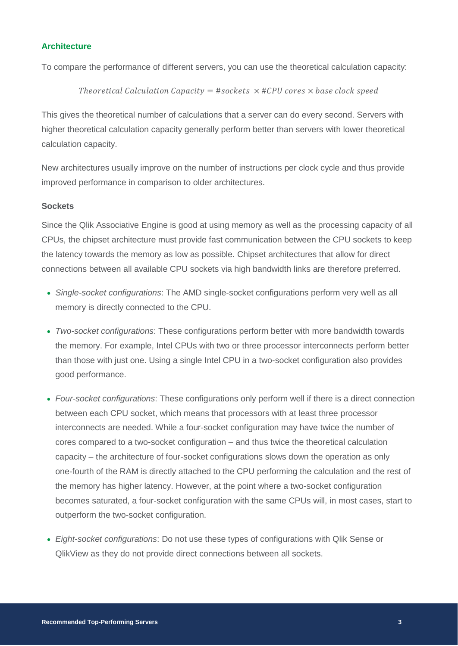#### <span id="page-3-0"></span>**Architecture**

To compare the performance of different servers, you can use the theoretical calculation capacity:

#### Theoretical Calculation Capacity = #sockets  $\times$  #CPU cores  $\times$  base clock speed

This gives the theoretical number of calculations that a server can do every second. Servers with higher theoretical calculation capacity generally perform better than servers with lower theoretical calculation capacity.

New architectures usually improve on the number of instructions per clock cycle and thus provide improved performance in comparison to older architectures.

#### **Sockets**

Since the Qlik Associative Engine is good at using memory as well as the processing capacity of all CPUs, the chipset architecture must provide fast communication between the CPU sockets to keep the latency towards the memory as low as possible. Chipset architectures that allow for direct connections between all available CPU sockets via high bandwidth links are therefore preferred.

- *Single-socket configurations*: The AMD single-socket configurations perform very well as all memory is directly connected to the CPU.
- *Two-socket configurations*: These configurations perform better with more bandwidth towards the memory. For example, Intel CPUs with two or three processor interconnects perform better than those with just one. Using a single Intel CPU in a two-socket configuration also provides good performance.
- *Four-socket configurations*: These configurations only perform well if there is a direct connection between each CPU socket, which means that processors with at least three processor interconnects are needed. While a four-socket configuration may have twice the number of cores compared to a two-socket configuration – and thus twice the theoretical calculation capacity – the architecture of four-socket configurations slows down the operation as only one-fourth of the RAM is directly attached to the CPU performing the calculation and the rest of the memory has higher latency. However, at the point where a two-socket configuration becomes saturated, a four-socket configuration with the same CPUs will, in most cases, start to outperform the two-socket configuration.
- *Eight-socket configurations*: Do not use these types of configurations with Qlik Sense or QlikView as they do not provide direct connections between all sockets.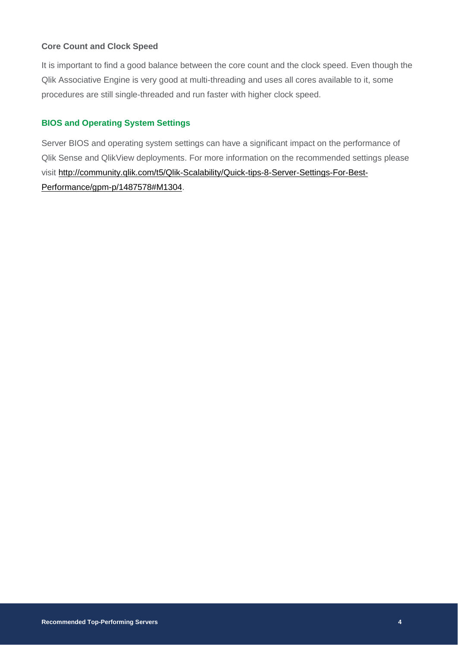#### **Core Count and Clock Speed**

It is important to find a good balance between the core count and the clock speed. Even though the Qlik Associative Engine is very good at multi-threading and uses all cores available to it, some procedures are still single-threaded and run faster with higher clock speed.

#### <span id="page-4-0"></span>**BIOS and Operating System Settings**

Server BIOS and operating system settings can have a significant impact on the performance of Qlik Sense and QlikView deployments. For more information on the recommended settings please visit [http://community.qlik.com/t5/Qlik-Scalability/Quick-tips-8-Server-Settings-For-Best-](http://community.qlik.com/t5/Qlik-Scalability/Quick-tips-8-Server-Settings-For-Best-Performance/gpm-p/1487578#M1304)[Performance/gpm-p/1487578#M1304.](http://community.qlik.com/t5/Qlik-Scalability/Quick-tips-8-Server-Settings-For-Best-Performance/gpm-p/1487578#M1304)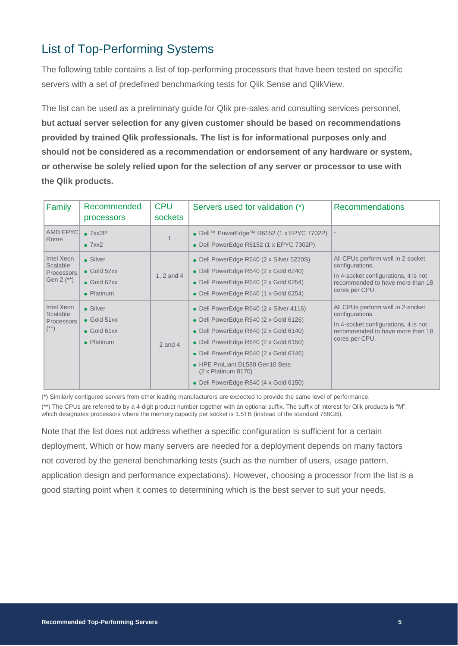## <span id="page-5-0"></span>List of Top-Performing Systems

The following table contains a list of top-performing processors that have been tested on specific servers with a set of predefined benchmarking tests for Qlik Sense and QlikView.

The list can be used as a preliminary guide for Qlik pre-sales and consulting services personnel, **but actual server selection for any given customer should be based on recommendations provided by trained Qlik professionals. The list is for informational purposes only and should not be considered as a recommendation or endorsement of any hardware or system, or otherwise be solely relied upon for the selection of any server or processor to use with the Qlik products.**

| Family                                                 | Recommended<br>processors                                            | <b>CPU</b><br>sockets | Servers used for validation (*)                                                                                                                                                                                                                                                                                              | <b>Recommendations</b>                                                                                                                              |
|--------------------------------------------------------|----------------------------------------------------------------------|-----------------------|------------------------------------------------------------------------------------------------------------------------------------------------------------------------------------------------------------------------------------------------------------------------------------------------------------------------------|-----------------------------------------------------------------------------------------------------------------------------------------------------|
| AMD EPYC<br>Rome                                       | $\bullet$ 7xx2P<br>$\bullet$ 7xx2                                    |                       | • Dell <sup>™</sup> PowerEdge <sup>™</sup> R6152 (1 x EPYC 7702P)<br>• Dell PowerEdge R6152 (1 x EPYC 7302P)                                                                                                                                                                                                                 |                                                                                                                                                     |
| Intel Xeon<br>Scalable<br>Processors<br>Gen $2$ $(**)$ | • Silver<br>$\bullet$ Gold 52xx<br>$\bullet$ Gold 62xx<br>• Platinum | 1, 2 and 4            | • Dell PowerEdge R640 (2 x Silver 5220S)<br>• Dell PowerEdge R640 (2 x Gold 6240)<br>• Dell PowerEdge R640 (2 x Gold 6254)<br>• Dell PowerEdge R640 (1 x Gold 6254)                                                                                                                                                          | All CPUs perform well in 2-socket<br>configurations.<br>In 4-socket configurations, it is not<br>recommended to have more than 18<br>cores per CPU. |
| Intel Xeon<br>Scalable<br><b>Processors</b><br>$(**)$  | • Silver<br>$\bullet$ Gold 51xx<br>$\bullet$ Gold 61xx<br>• Platinum | $2$ and $4$           | • Dell PowerEdge R640 (2 x Silver 4116)<br>• Dell PowerEdge R640 (2 x Gold 6126)<br>• Dell PowerEdge R640 (2 x Gold 6140)<br>• Dell PowerEdge R640 (2 x Gold 6150)<br>• Dell PowerEdge R640 (2 x Gold 6146)<br>• HPE ProLiant DL580 Gen10 Beta<br>$(2 \times$ Platinum 8170)<br>• Dell PowerEdge R840 $(4 \times$ Gold 6150) | All CPUs perform well in 2-socket<br>configurations.<br>In 4-socket configurations, it is not<br>recommended to have more than 18<br>cores per CPU. |

(\*) Similarly configured servers from other leading manufacturers are expected to provide the same level of performance.

(\*\*) The CPUs are referred to by a 4-digit product number together with an optional suffix. The suffix of interest for Qlik products is "M", which designates processors where the memory capacity per socket is 1.5TB (instead of the standard 768GB).

Note that the list does not address whether a specific configuration is sufficient for a certain deployment. Which or how many servers are needed for a deployment depends on many factors not covered by the general benchmarking tests (such as the number of users, usage pattern, application design and performance expectations). However, choosing a processor from the list is a good starting point when it comes to determining which is the best server to suit your needs.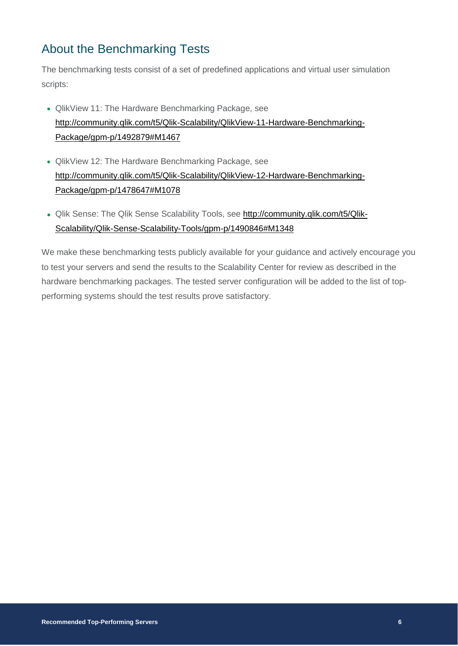## <span id="page-6-0"></span>About the Benchmarking Tests

The benchmarking tests consist of a set of predefined applications and virtual user simulation scripts:

- QlikView 11: The Hardware Benchmarking Package, see [http://community.qlik.com/t5/Qlik-Scalability/QlikView-11-Hardware-Benchmarking-](http://community.qlik.com/t5/Qlik-Scalability/QlikView-11-Hardware-Benchmarking-Package/gpm-p/1492879#M1467)[Package/gpm-p/1492879#M1467](http://community.qlik.com/t5/Qlik-Scalability/QlikView-11-Hardware-Benchmarking-Package/gpm-p/1492879#M1467)
- QlikView 12: The Hardware Benchmarking Package, see [http://community.qlik.com/t5/Qlik-Scalability/QlikView-12-Hardware-Benchmarking-](http://community.qlik.com/t5/Qlik-Scalability/QlikView-12-Hardware-Benchmarking-Package/gpm-p/1478647#M1078)[Package/gpm-p/1478647#M1078](http://community.qlik.com/t5/Qlik-Scalability/QlikView-12-Hardware-Benchmarking-Package/gpm-p/1478647#M1078)
- Qlik Sense: The Qlik Sense Scalability Tools, see http://community.glik.com/t5/Qlik-[Scalability/Qlik-Sense-Scalability-Tools/gpm-p/1490846#M1348](http://community.qlik.com/t5/Qlik-Scalability/Qlik-Sense-Scalability-Tools/gpm-p/1490846#M1348)

We make these benchmarking tests publicly available for your guidance and actively encourage you to test your servers and send the results to the Scalability Center for review as described in the hardware benchmarking packages. The tested server configuration will be added to the list of topperforming systems should the test results prove satisfactory.